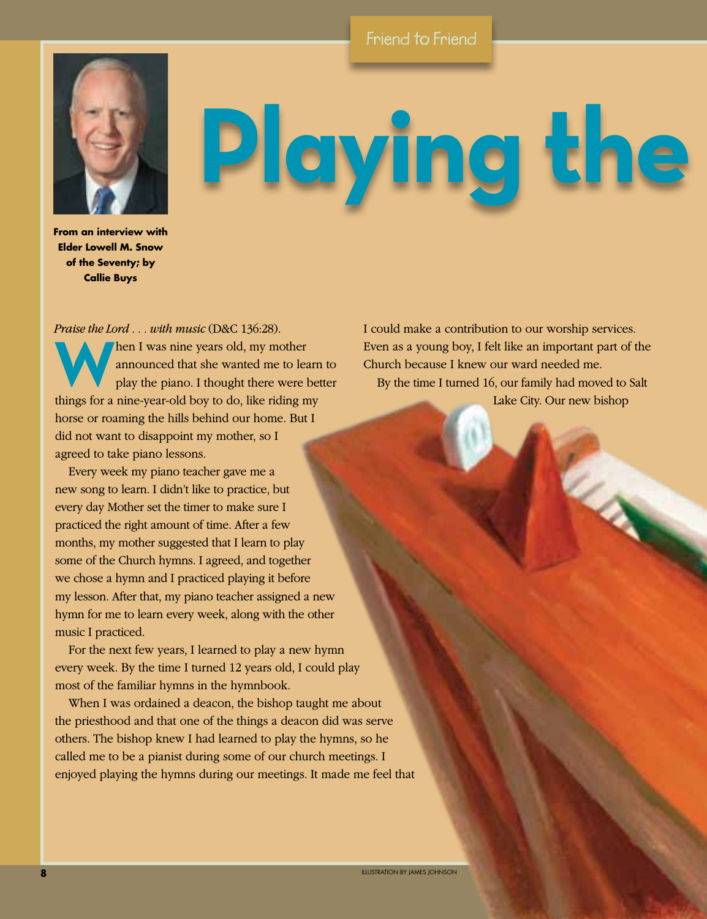## Friend to Friend



## Playing the

**From an interview with Elder Lowell M. Snow of the Seventy; by Callie Buys**

*Praise the Lord . . . with music* (D&C 136:28). Then I was nine years old, my mother<br>announced that she wanted me to learning the piano. I thought there were the<br>things for a nine was ald have to do like siding m announced that she wanted me to learn to play the piano. I thought there were better things for a nine-year-old boy to do, like riding my horse or roaming the hills behind our home. But I did not want to disappoint my mother, so I agreed to take piano lessons.

Every week my piano teacher gave me a new song to learn. I didn't like to practice, but every day Mother set the timer to make sure I practiced the right amount of time. After a few months, my mother suggested that I learn to play some of the Church hymns. I agreed, and together we chose a hymn and I practiced playing it before my lesson. After that, my piano teacher assigned a new hymn for me to learn every week, along with the other music I practiced.

For the next few years, I learned to play a new hymn every week. By the time I turned 12 years old, I could play most of the familiar hymns in the hymnbook.

When I was ordained a deacon, the bishop taught me about the priesthood and that one of the things a deacon did was serve others. The bishop knew I had learned to play the hymns, so he called me to be a pianist during some of our church meetings. I enjoyed playing the hymns during our meetings. It made me feel that

I could make a contribution to our worship services. Even as a young boy, I felt like an important part of the Church because I knew our ward needed me.

By the time I turned 16, our family had moved to Salt Lake City. Our new bishop